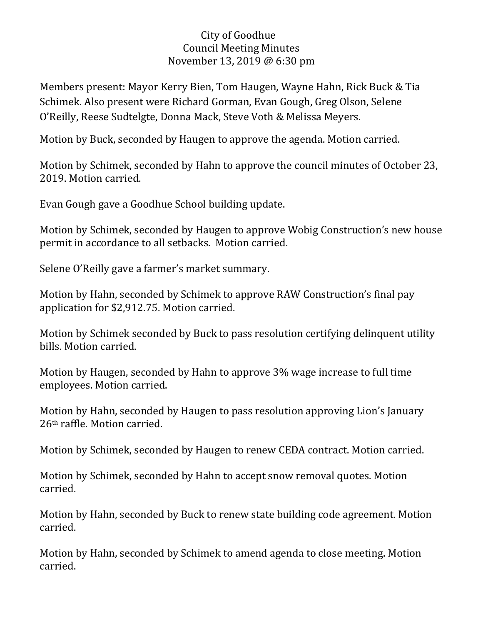## City of Goodhue Council Meeting Minutes November 13, 2019 @ 6:30 pm

Members present: Mayor Kerry Bien, Tom Haugen, Wayne Hahn, Rick Buck & Tia Schimek. Also present were Richard Gorman, Evan Gough, Greg Olson, Selene O'Reilly, Reese Sudtelgte, Donna Mack, Steve Voth & Melissa Meyers.

Motion by Buck, seconded by Haugen to approve the agenda. Motion carried.

Motion by Schimek, seconded by Hahn to approve the council minutes of October 23, 2019. Motion carried.

Evan Gough gave a Goodhue School building update.

Motion by Schimek, seconded by Haugen to approve Wobig Construction's new house permit in accordance to all setbacks. Motion carried.

Selene O'Reilly gave a farmer's market summary.

Motion by Hahn, seconded by Schimek to approve RAW Construction's final pay application for \$2,912.75. Motion carried.

Motion by Schimek seconded by Buck to pass resolution certifying delinquent utility bills. Motion carried.

Motion by Haugen, seconded by Hahn to approve 3% wage increase to full time employees. Motion carried.

Motion by Hahn, seconded by Haugen to pass resolution approving Lion's January 26th raffle. Motion carried.

Motion by Schimek, seconded by Haugen to renew CEDA contract. Motion carried.

Motion by Schimek, seconded by Hahn to accept snow removal quotes. Motion carried.

Motion by Hahn, seconded by Buck to renew state building code agreement. Motion carried.

Motion by Hahn, seconded by Schimek to amend agenda to close meeting. Motion carried.